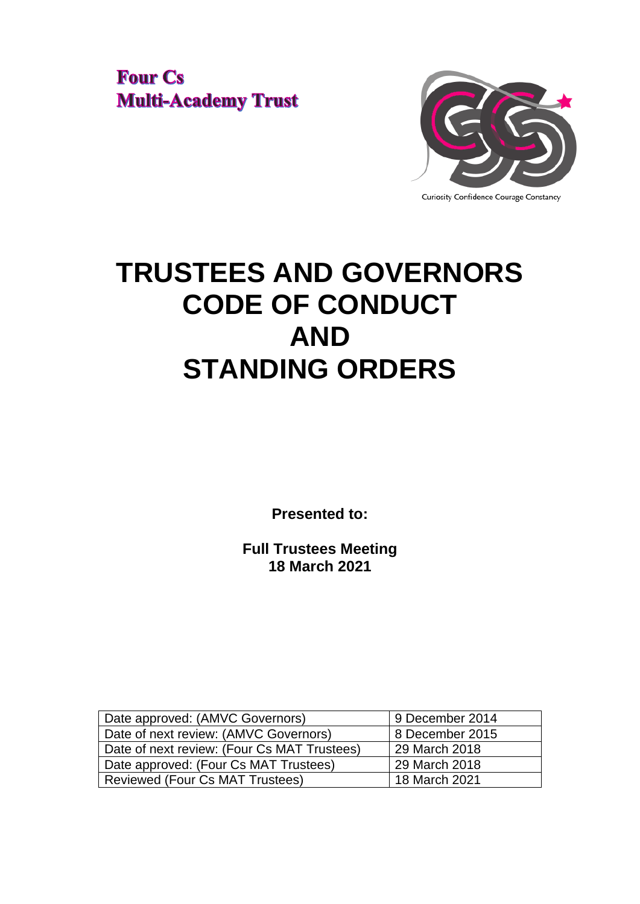**Four Cs Multi-Academy Trust** 



# **TRUSTEES AND GOVERNORS CODE OF CONDUCT AND STANDING ORDERS**

**Presented to:**

**Full Trustees Meeting 18 March 2021**

| Date approved: (AMVC Governors)             | 9 December 2014 |  |
|---------------------------------------------|-----------------|--|
| Date of next review: (AMVC Governors)       | 8 December 2015 |  |
| Date of next review: (Four Cs MAT Trustees) | 29 March 2018   |  |
| Date approved: (Four Cs MAT Trustees)       | 29 March 2018   |  |
| Reviewed (Four Cs MAT Trustees)             | 18 March 2021   |  |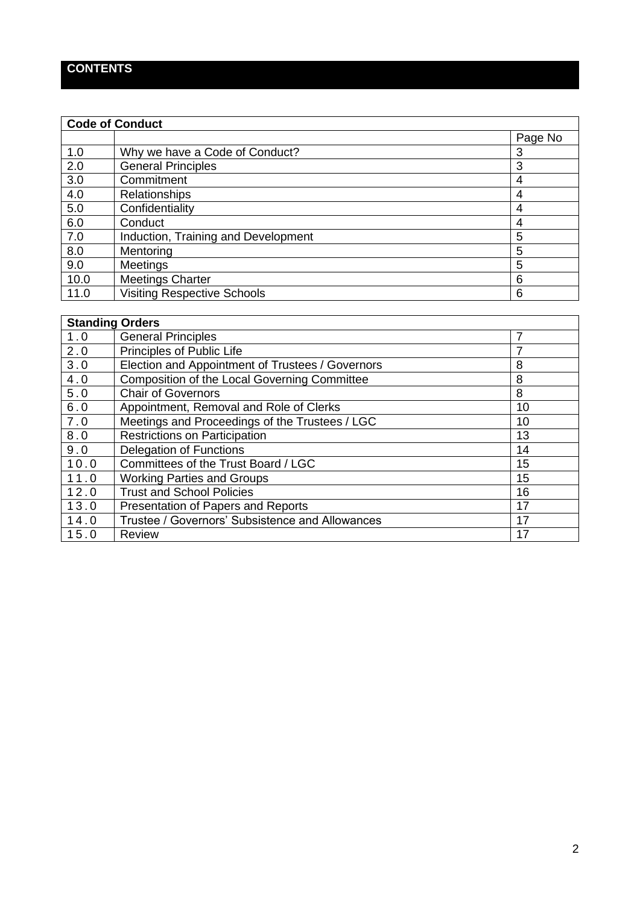# **CONTENTS**

 $\mathbf{r}$ 

| <b>Code of Conduct</b> |                                     |         |  |
|------------------------|-------------------------------------|---------|--|
|                        |                                     | Page No |  |
| 1.0                    | Why we have a Code of Conduct?      | 3       |  |
| 2.0                    | <b>General Principles</b>           | 3       |  |
| 3.0                    | Commitment                          | 4       |  |
| 4.0                    | <b>Relationships</b>                | 4       |  |
| 5.0                    | Confidentiality                     | 4       |  |
| 6.0                    | Conduct                             | 4       |  |
| 7.0                    | Induction, Training and Development | 5       |  |
| 8.0                    | Mentoring                           | 5       |  |
| 9.0                    | <b>Meetings</b>                     | 5       |  |
| 10.0                   | <b>Meetings Charter</b>             | 6       |  |
| 11.0                   | <b>Visiting Respective Schools</b>  | 6       |  |

| <b>Standing Orders</b> |                                                  |    |  |  |
|------------------------|--------------------------------------------------|----|--|--|
| 1.0                    | General Principles                               | 7  |  |  |
| 2.0                    | Principles of Public Life                        | 7  |  |  |
| 3.0                    | Election and Appointment of Trustees / Governors | 8  |  |  |
| 4.0                    | Composition of the Local Governing Committee     | 8  |  |  |
| 5.0                    | <b>Chair of Governors</b>                        | 8  |  |  |
| 6.0                    | Appointment, Removal and Role of Clerks          | 10 |  |  |
| 7.0                    | Meetings and Proceedings of the Trustees / LGC   | 10 |  |  |
| 8.0                    | <b>Restrictions on Participation</b>             | 13 |  |  |
| 9.0                    | <b>Delegation of Functions</b>                   | 14 |  |  |
| 10.0                   | Committees of the Trust Board / LGC              | 15 |  |  |
| 11.0                   | <b>Working Parties and Groups</b>                | 15 |  |  |
| 12.0                   | <b>Trust and School Policies</b>                 | 16 |  |  |
| 13.0                   | Presentation of Papers and Reports               | 17 |  |  |
| 14.0                   | Trustee / Governors' Subsistence and Allowances  | 17 |  |  |
| 15.0                   | <b>Review</b>                                    | 17 |  |  |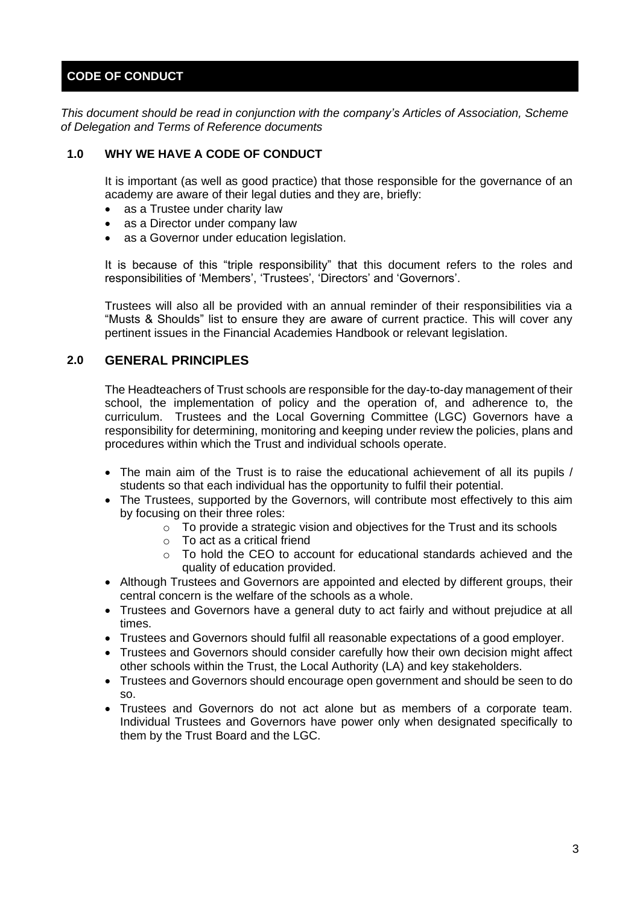# **CODE OF CONDUCT**

*This document should be read in conjunction with the company's Articles of Association, Scheme of Delegation and Terms of Reference documents*

#### **1.0 WHY WE HAVE A CODE OF CONDUCT**

It is important (as well as good practice) that those responsible for the governance of an academy are aware of their legal duties and they are, briefly:

- as a Trustee under charity law
- as a Director under company law
- as a Governor under education legislation.

It is because of this "triple responsibility" that this document refers to the roles and responsibilities of 'Members', 'Trustees', 'Directors' and 'Governors'.

Trustees will also all be provided with an annual reminder of their responsibilities via a "Musts & Shoulds" list to ensure they are aware of current practice. This will cover any pertinent issues in the Financial Academies Handbook or relevant legislation.

# **2.0 GENERAL PRINCIPLES**

The Headteachers of Trust schools are responsible for the day-to-day management of their school, the implementation of policy and the operation of, and adherence to, the curriculum. Trustees and the Local Governing Committee (LGC) Governors have a responsibility for determining, monitoring and keeping under review the policies, plans and procedures within which the Trust and individual schools operate.

- The main aim of the Trust is to raise the educational achievement of all its pupils / students so that each individual has the opportunity to fulfil their potential.
- The Trustees, supported by the Governors, will contribute most effectively to this aim by focusing on their three roles:
	- $\circ$  To provide a strategic vision and objectives for the Trust and its schools
	- o To act as a critical friend
	- $\circ$  To hold the CEO to account for educational standards achieved and the quality of education provided.
- Although Trustees and Governors are appointed and elected by different groups, their central concern is the welfare of the schools as a whole.
- Trustees and Governors have a general duty to act fairly and without prejudice at all times.
- Trustees and Governors should fulfil all reasonable expectations of a good employer.
- Trustees and Governors should consider carefully how their own decision might affect other schools within the Trust, the Local Authority (LA) and key stakeholders.
- Trustees and Governors should encourage open government and should be seen to do so.
- Trustees and Governors do not act alone but as members of a corporate team. Individual Trustees and Governors have power only when designated specifically to them by the Trust Board and the LGC.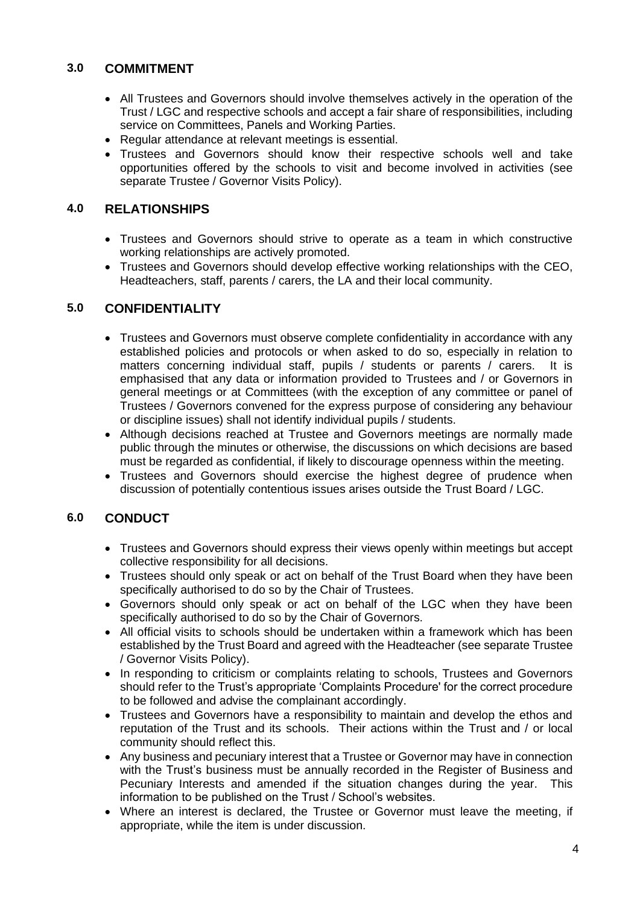# **3.0 COMMITMENT**

- All Trustees and Governors should involve themselves actively in the operation of the Trust / LGC and respective schools and accept a fair share of responsibilities, including service on Committees, Panels and Working Parties.
- Regular attendance at relevant meetings is essential.
- Trustees and Governors should know their respective schools well and take opportunities offered by the schools to visit and become involved in activities (see separate Trustee / Governor Visits Policy).

# **4.0 RELATIONSHIPS**

- Trustees and Governors should strive to operate as a team in which constructive working relationships are actively promoted.
- Trustees and Governors should develop effective working relationships with the CEO, Headteachers, staff, parents / carers, the LA and their local community.

# **5.0 CONFIDENTIALITY**

- Trustees and Governors must observe complete confidentiality in accordance with any established policies and protocols or when asked to do so, especially in relation to matters concerning individual staff, pupils / students or parents / carers. It is emphasised that any data or information provided to Trustees and / or Governors in general meetings or at Committees (with the exception of any committee or panel of Trustees / Governors convened for the express purpose of considering any behaviour or discipline issues) shall not identify individual pupils / students.
- Although decisions reached at Trustee and Governors meetings are normally made public through the minutes or otherwise, the discussions on which decisions are based must be regarded as confidential, if likely to discourage openness within the meeting.
- Trustees and Governors should exercise the highest degree of prudence when discussion of potentially contentious issues arises outside the Trust Board / LGC.

# **6.0 CONDUCT**

- Trustees and Governors should express their views openly within meetings but accept collective responsibility for all decisions.
- Trustees should only speak or act on behalf of the Trust Board when they have been specifically authorised to do so by the Chair of Trustees.
- Governors should only speak or act on behalf of the LGC when they have been specifically authorised to do so by the Chair of Governors.
- All official visits to schools should be undertaken within a framework which has been established by the Trust Board and agreed with the Headteacher (see separate Trustee / Governor Visits Policy).
- In responding to criticism or complaints relating to schools, Trustees and Governors should refer to the Trust's appropriate 'Complaints Procedure' for the correct procedure to be followed and advise the complainant accordingly.
- Trustees and Governors have a responsibility to maintain and develop the ethos and reputation of the Trust and its schools. Their actions within the Trust and / or local community should reflect this.
- Any business and pecuniary interest that a Trustee or Governor may have in connection with the Trust's business must be annually recorded in the Register of Business and Pecuniary Interests and amended if the situation changes during the year. This information to be published on the Trust / School's websites.
- Where an interest is declared, the Trustee or Governor must leave the meeting, if appropriate, while the item is under discussion.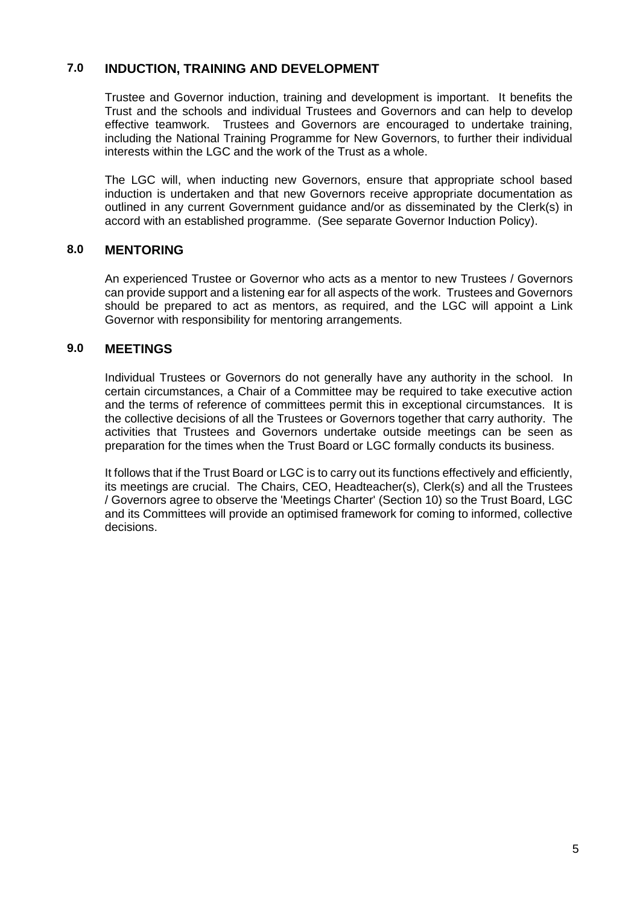# **7.0 INDUCTION, TRAINING AND DEVELOPMENT**

Trustee and Governor induction, training and development is important. It benefits the Trust and the schools and individual Trustees and Governors and can help to develop effective teamwork. Trustees and Governors are encouraged to undertake training, including the National Training Programme for New Governors, to further their individual interests within the LGC and the work of the Trust as a whole.

The LGC will, when inducting new Governors, ensure that appropriate school based induction is undertaken and that new Governors receive appropriate documentation as outlined in any current Government guidance and/or as disseminated by the Clerk(s) in accord with an established programme. (See separate Governor Induction Policy).

#### **8.0 MENTORING**

An experienced Trustee or Governor who acts as a mentor to new Trustees / Governors can provide support and a listening ear for all aspects of the work. Trustees and Governors should be prepared to act as mentors, as required, and the LGC will appoint a Link Governor with responsibility for mentoring arrangements.

#### **9.0 MEETINGS**

Individual Trustees or Governors do not generally have any authority in the school. In certain circumstances, a Chair of a Committee may be required to take executive action and the terms of reference of committees permit this in exceptional circumstances. It is the collective decisions of all the Trustees or Governors together that carry authority. The activities that Trustees and Governors undertake outside meetings can be seen as preparation for the times when the Trust Board or LGC formally conducts its business.

It follows that if the Trust Board or LGC is to carry out its functions effectively and efficiently, its meetings are crucial. The Chairs, CEO, Headteacher(s), Clerk(s) and all the Trustees / Governors agree to observe the 'Meetings Charter' (Section 10) so the Trust Board, LGC and its Committees will provide an optimised framework for coming to informed, collective decisions.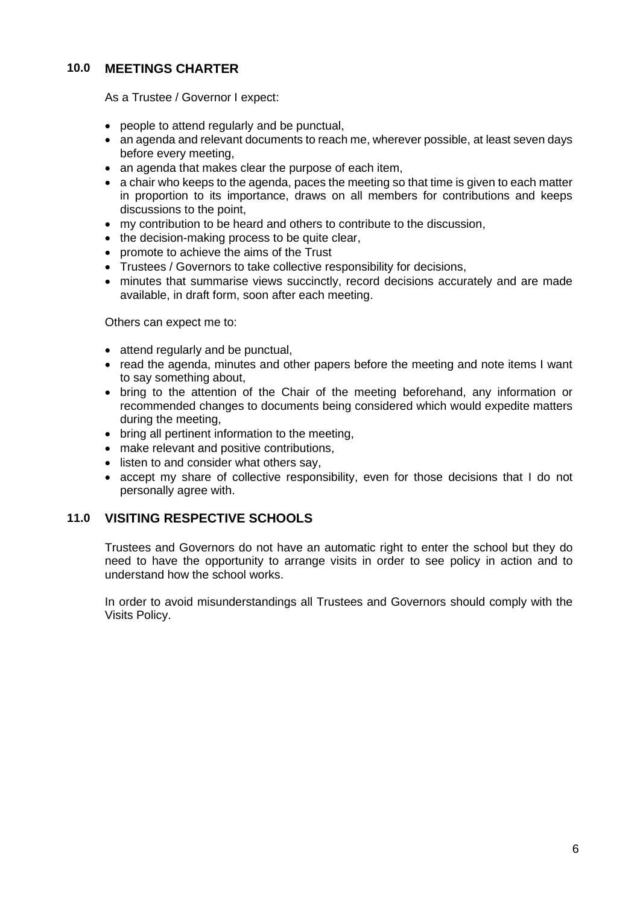# **10.0 MEETINGS CHARTER**

As a Trustee / Governor I expect:

- people to attend regularly and be punctual,
- an agenda and relevant documents to reach me, wherever possible, at least seven days before every meeting,
- an agenda that makes clear the purpose of each item,
- a chair who keeps to the agenda, paces the meeting so that time is given to each matter in proportion to its importance, draws on all members for contributions and keeps discussions to the point,
- my contribution to be heard and others to contribute to the discussion,
- the decision-making process to be quite clear,
- promote to achieve the aims of the Trust
- Trustees / Governors to take collective responsibility for decisions,
- minutes that summarise views succinctly, record decisions accurately and are made available, in draft form, soon after each meeting.

Others can expect me to:

- attend regularly and be punctual,
- read the agenda, minutes and other papers before the meeting and note items I want to say something about,
- bring to the attention of the Chair of the meeting beforehand, any information or recommended changes to documents being considered which would expedite matters during the meeting,
- bring all pertinent information to the meeting,
- make relevant and positive contributions,
- listen to and consider what others say,
- accept my share of collective responsibility, even for those decisions that I do not personally agree with.

# **11.0 VISITING RESPECTIVE SCHOOLS**

Trustees and Governors do not have an automatic right to enter the school but they do need to have the opportunity to arrange visits in order to see policy in action and to understand how the school works.

In order to avoid misunderstandings all Trustees and Governors should comply with the Visits Policy.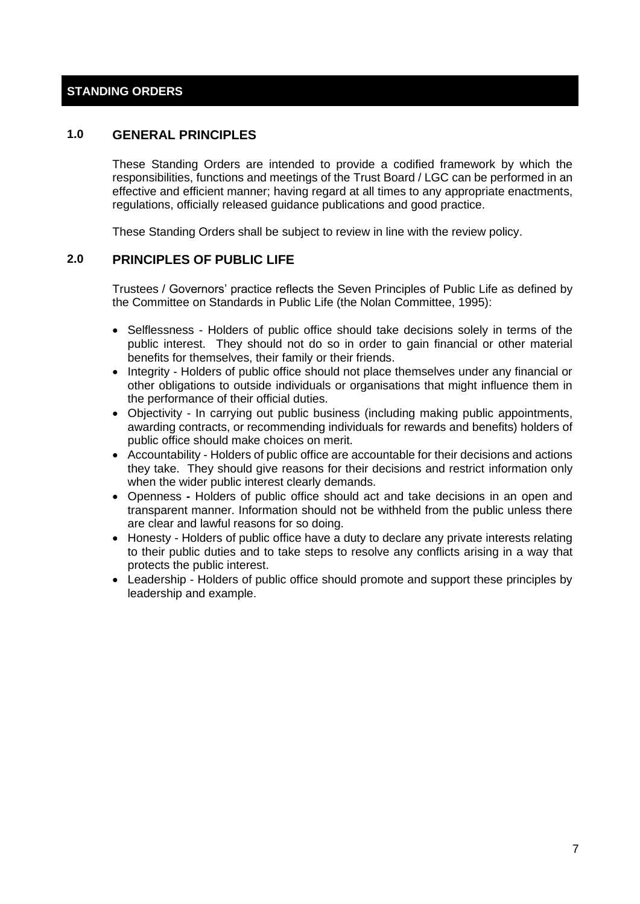# **STANDING ORDERS**

## **1.0 GENERAL PRINCIPLES**

These Standing Orders are intended to provide a codified framework by which the responsibilities, functions and meetings of the Trust Board / LGC can be performed in an effective and efficient manner; having regard at all times to any appropriate enactments, regulations, officially released guidance publications and good practice.

These Standing Orders shall be subject to review in line with the review policy.

#### **2.0 PRINCIPLES OF PUBLIC LIFE**

Trustees / Governors' practice reflects the Seven Principles of Public Life as defined by the Committee on Standards in Public Life (the Nolan Committee, 1995):

- Selflessness Holders of public office should take decisions solely in terms of the public interest. They should not do so in order to gain financial or other material benefits for themselves, their family or their friends.
- Integrity Holders of public office should not place themselves under any financial or other obligations to outside individuals or organisations that might influence them in the performance of their official duties.
- Objectivity In carrying out public business (including making public appointments, awarding contracts, or recommending individuals for rewards and benefits) holders of public office should make choices on merit.
- Accountability Holders of public office are accountable for their decisions and actions they take. They should give reasons for their decisions and restrict information only when the wider public interest clearly demands.
- Openness *-* Holders of public office should act and take decisions in an open and transparent manner. Information should not be withheld from the public unless there are clear and lawful reasons for so doing.
- Honesty Holders of public office have a duty to declare any private interests relating to their public duties and to take steps to resolve any conflicts arising in a way that protects the public interest.
- Leadership Holders of public office should promote and support these principles by leadership and example.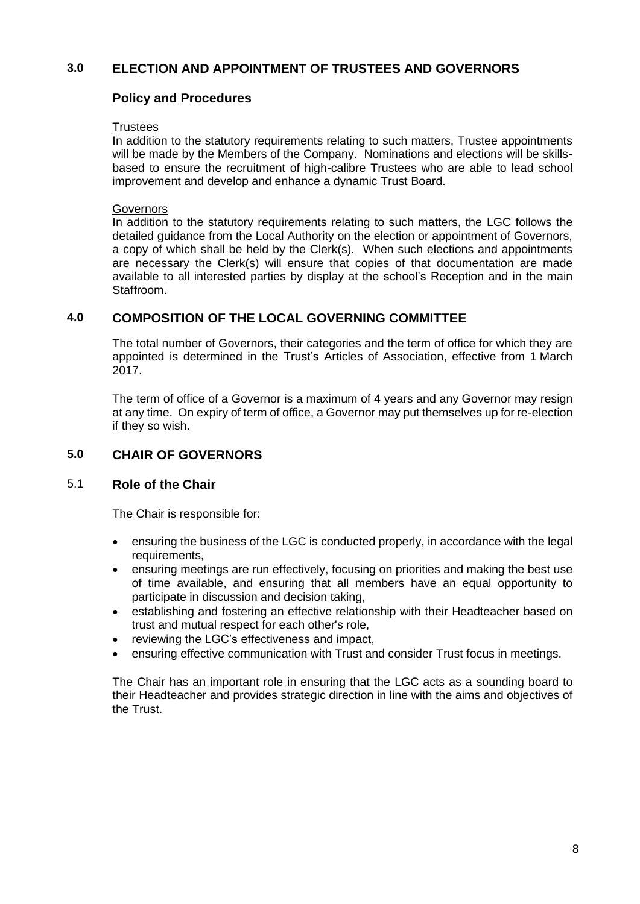# **3.0 ELECTION AND APPOINTMENT OF TRUSTEES AND GOVERNORS**

# **Policy and Procedures**

#### **Trustees**

In addition to the statutory requirements relating to such matters, Trustee appointments will be made by the Members of the Company. Nominations and elections will be skillsbased to ensure the recruitment of high-calibre Trustees who are able to lead school improvement and develop and enhance a dynamic Trust Board.

#### Governors

In addition to the statutory requirements relating to such matters, the LGC follows the detailed guidance from the Local Authority on the election or appointment of Governors, a copy of which shall be held by the Clerk(s). When such elections and appointments are necessary the Clerk(s) will ensure that copies of that documentation are made available to all interested parties by display at the school's Reception and in the main **Staffroom** 

## **4.0 COMPOSITION OF THE LOCAL GOVERNING COMMITTEE**

The total number of Governors, their categories and the term of office for which they are appointed is determined in the Trust's Articles of Association, effective from 1 March 2017.

The term of office of a Governor is a maximum of 4 years and any Governor may resign at any time. On expiry of term of office, a Governor may put themselves up for re-election if they so wish.

# **5.0 CHAIR OF GOVERNORS**

#### 5.1 **Role of the Chair**

The Chair is responsible for:

- ensuring the business of the LGC is conducted properly, in accordance with the legal requirements,
- ensuring meetings are run effectively, focusing on priorities and making the best use of time available, and ensuring that all members have an equal opportunity to participate in discussion and decision taking,
- establishing and fostering an effective relationship with their Headteacher based on trust and mutual respect for each other's role,
- reviewing the LGC's effectiveness and impact,
- ensuring effective communication with Trust and consider Trust focus in meetings.

The Chair has an important role in ensuring that the LGC acts as a sounding board to their Headteacher and provides strategic direction in line with the aims and objectives of the Trust.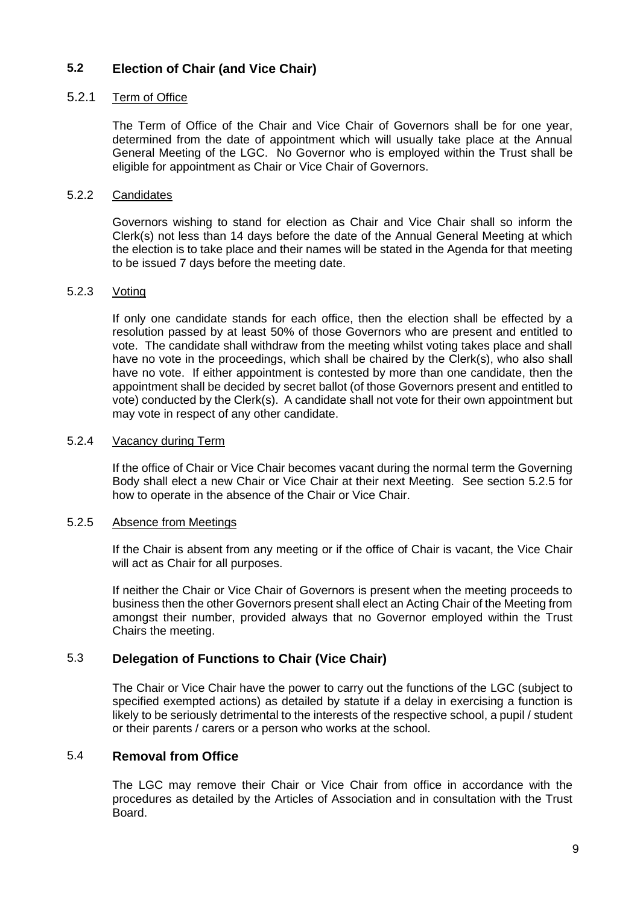#### **5.2 Election of Chair (and Vice Chair)**

#### 5.2.1 Term of Office

The Term of Office of the Chair and Vice Chair of Governors shall be for one year, determined from the date of appointment which will usually take place at the Annual General Meeting of the LGC. No Governor who is employed within the Trust shall be eligible for appointment as Chair or Vice Chair of Governors.

#### 5.2.2 Candidates

Governors wishing to stand for election as Chair and Vice Chair shall so inform the Clerk(s) not less than 14 days before the date of the Annual General Meeting at which the election is to take place and their names will be stated in the Agenda for that meeting to be issued 7 days before the meeting date.

#### 5.2.3 Voting

If only one candidate stands for each office, then the election shall be effected by a resolution passed by at least 50% of those Governors who are present and entitled to vote. The candidate shall withdraw from the meeting whilst voting takes place and shall have no vote in the proceedings, which shall be chaired by the Clerk(s), who also shall have no vote. If either appointment is contested by more than one candidate, then the appointment shall be decided by secret ballot (of those Governors present and entitled to vote) conducted by the Clerk(s). A candidate shall not vote for their own appointment but may vote in respect of any other candidate.

#### 5.2.4 Vacancy during Term

If the office of Chair or Vice Chair becomes vacant during the normal term the Governing Body shall elect a new Chair or Vice Chair at their next Meeting. See section 5.2.5 for how to operate in the absence of the Chair or Vice Chair.

#### 5.2.5 Absence from Meetings

If the Chair is absent from any meeting or if the office of Chair is vacant, the Vice Chair will act as Chair for all purposes.

If neither the Chair or Vice Chair of Governors is present when the meeting proceeds to business then the other Governors present shall elect an Acting Chair of the Meeting from amongst their number, provided always that no Governor employed within the Trust Chairs the meeting.

# 5.3 **Delegation of Functions to Chair (Vice Chair)**

The Chair or Vice Chair have the power to carry out the functions of the LGC (subject to specified exempted actions) as detailed by statute if a delay in exercising a function is likely to be seriously detrimental to the interests of the respective school, a pupil / student or their parents / carers or a person who works at the school.

#### 5.4 **Removal from Office**

The LGC may remove their Chair or Vice Chair from office in accordance with the procedures as detailed by the Articles of Association and in consultation with the Trust Board.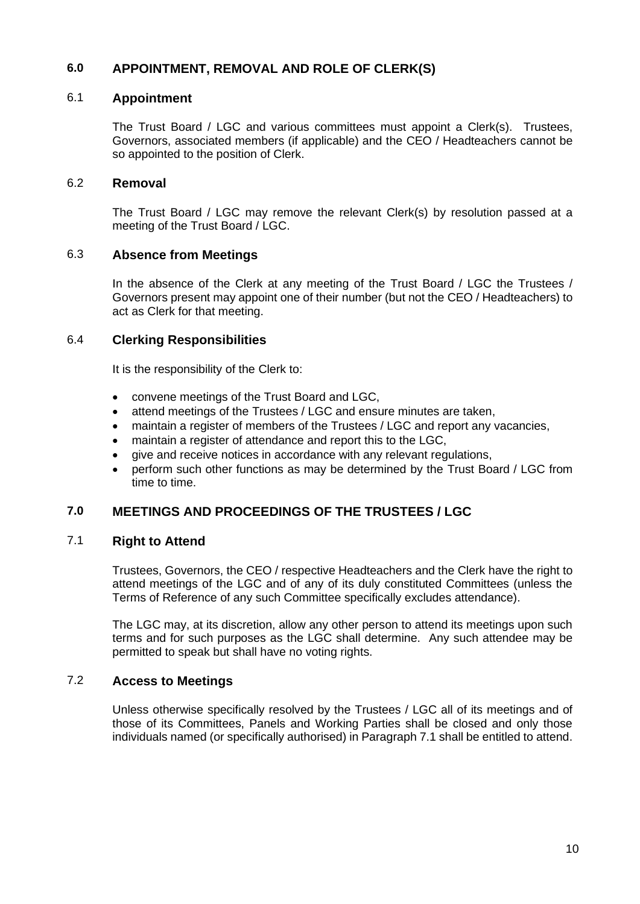# **6.0 APPOINTMENT, REMOVAL AND ROLE OF CLERK(S)**

## 6.1 **Appointment**

The Trust Board / LGC and various committees must appoint a Clerk(s). Trustees, Governors, associated members (if applicable) and the CEO / Headteachers cannot be so appointed to the position of Clerk.

#### 6.2 **Removal**

The Trust Board / LGC may remove the relevant Clerk(s) by resolution passed at a meeting of the Trust Board / LGC.

#### 6.3 **Absence from Meetings**

In the absence of the Clerk at any meeting of the Trust Board / LGC the Trustees / Governors present may appoint one of their number (but not the CEO / Headteachers) to act as Clerk for that meeting.

#### 6.4 **Clerking Responsibilities**

It is the responsibility of the Clerk to:

- convene meetings of the Trust Board and LGC,
- attend meetings of the Trustees / LGC and ensure minutes are taken,
- maintain a register of members of the Trustees / LGC and report any vacancies,
- maintain a register of attendance and report this to the LGC,
- give and receive notices in accordance with any relevant regulations,
- perform such other functions as may be determined by the Trust Board / LGC from time to time.

# **7.0 MEETINGS AND PROCEEDINGS OF THE TRUSTEES / LGC**

# 7.1 **Right to Attend**

Trustees, Governors, the CEO / respective Headteachers and the Clerk have the right to attend meetings of the LGC and of any of its duly constituted Committees (unless the Terms of Reference of any such Committee specifically excludes attendance).

The LGC may, at its discretion, allow any other person to attend its meetings upon such terms and for such purposes as the LGC shall determine. Any such attendee may be permitted to speak but shall have no voting rights.

## 7.2 **Access to Meetings**

Unless otherwise specifically resolved by the Trustees / LGC all of its meetings and of those of its Committees, Panels and Working Parties shall be closed and only those individuals named (or specifically authorised) in Paragraph 7.1 shall be entitled to attend.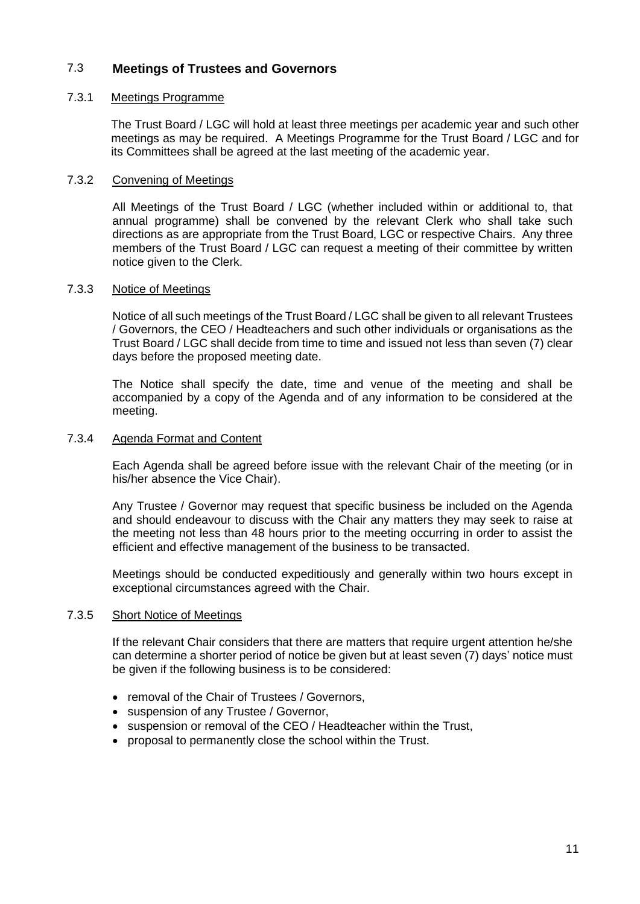# 7.3 **Meetings of Trustees and Governors**

#### 7.3.1 Meetings Programme

The Trust Board / LGC will hold at least three meetings per academic year and such other meetings as may be required. A Meetings Programme for the Trust Board / LGC and for its Committees shall be agreed at the last meeting of the academic year.

#### 7.3.2 Convening of Meetings

All Meetings of the Trust Board / LGC (whether included within or additional to, that annual programme) shall be convened by the relevant Clerk who shall take such directions as are appropriate from the Trust Board, LGC or respective Chairs. Any three members of the Trust Board / LGC can request a meeting of their committee by written notice given to the Clerk.

#### 7.3.3 Notice of Meetings

Notice of all such meetings of the Trust Board / LGC shall be given to all relevant Trustees / Governors, the CEO / Headteachers and such other individuals or organisations as the Trust Board / LGC shall decide from time to time and issued not less than seven (7) clear days before the proposed meeting date.

The Notice shall specify the date, time and venue of the meeting and shall be accompanied by a copy of the Agenda and of any information to be considered at the meeting.

#### 7.3.4 Agenda Format and Content

Each Agenda shall be agreed before issue with the relevant Chair of the meeting (or in his/her absence the Vice Chair).

Any Trustee / Governor may request that specific business be included on the Agenda and should endeavour to discuss with the Chair any matters they may seek to raise at the meeting not less than 48 hours prior to the meeting occurring in order to assist the efficient and effective management of the business to be transacted.

Meetings should be conducted expeditiously and generally within two hours except in exceptional circumstances agreed with the Chair.

#### 7.3.5 Short Notice of Meetings

If the relevant Chair considers that there are matters that require urgent attention he/she can determine a shorter period of notice be given but at least seven (7) days' notice must be given if the following business is to be considered:

- removal of the Chair of Trustees / Governors,
- suspension of any Trustee / Governor,
- suspension or removal of the CEO / Headteacher within the Trust,
- proposal to permanently close the school within the Trust.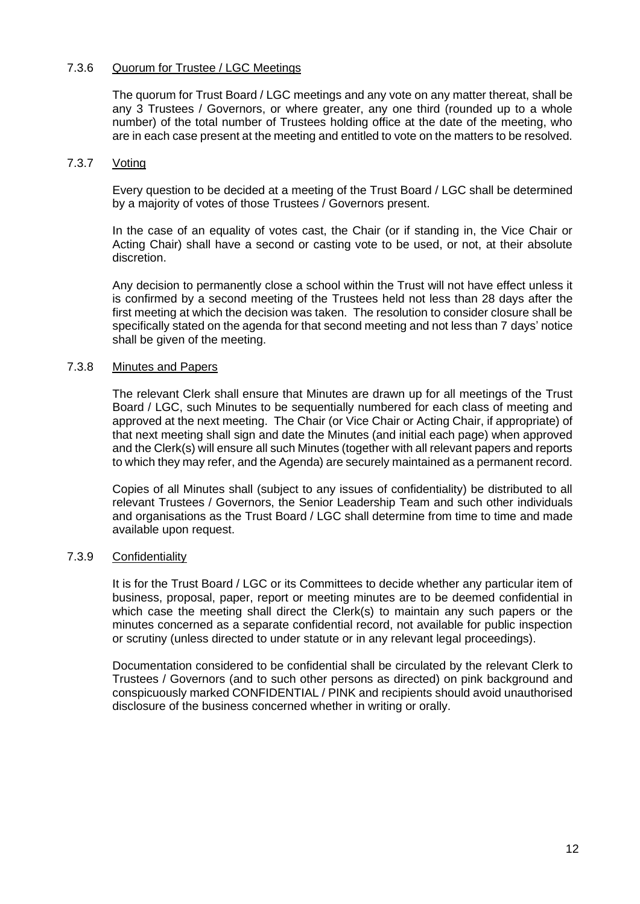#### 7.3.6 Quorum for Trustee / LGC Meetings

The quorum for Trust Board / LGC meetings and any vote on any matter thereat, shall be any 3 Trustees / Governors, or where greater, any one third (rounded up to a whole number) of the total number of Trustees holding office at the date of the meeting, who are in each case present at the meeting and entitled to vote on the matters to be resolved.

#### 7.3.7 Voting

Every question to be decided at a meeting of the Trust Board / LGC shall be determined by a majority of votes of those Trustees / Governors present.

In the case of an equality of votes cast, the Chair (or if standing in, the Vice Chair or Acting Chair) shall have a second or casting vote to be used, or not, at their absolute discretion.

Any decision to permanently close a school within the Trust will not have effect unless it is confirmed by a second meeting of the Trustees held not less than 28 days after the first meeting at which the decision was taken. The resolution to consider closure shall be specifically stated on the agenda for that second meeting and not less than 7 days' notice shall be given of the meeting.

#### 7.3.8 Minutes and Papers

The relevant Clerk shall ensure that Minutes are drawn up for all meetings of the Trust Board / LGC, such Minutes to be sequentially numbered for each class of meeting and approved at the next meeting. The Chair (or Vice Chair or Acting Chair, if appropriate) of that next meeting shall sign and date the Minutes (and initial each page) when approved and the Clerk(s) will ensure all such Minutes (together with all relevant papers and reports to which they may refer, and the Agenda) are securely maintained as a permanent record.

Copies of all Minutes shall (subject to any issues of confidentiality) be distributed to all relevant Trustees / Governors, the Senior Leadership Team and such other individuals and organisations as the Trust Board / LGC shall determine from time to time and made available upon request.

#### 7.3.9 Confidentiality

It is for the Trust Board / LGC or its Committees to decide whether any particular item of business, proposal, paper, report or meeting minutes are to be deemed confidential in which case the meeting shall direct the Clerk(s) to maintain any such papers or the minutes concerned as a separate confidential record, not available for public inspection or scrutiny (unless directed to under statute or in any relevant legal proceedings).

Documentation considered to be confidential shall be circulated by the relevant Clerk to Trustees / Governors (and to such other persons as directed) on pink background and conspicuously marked CONFIDENTIAL / PINK and recipients should avoid unauthorised disclosure of the business concerned whether in writing or orally.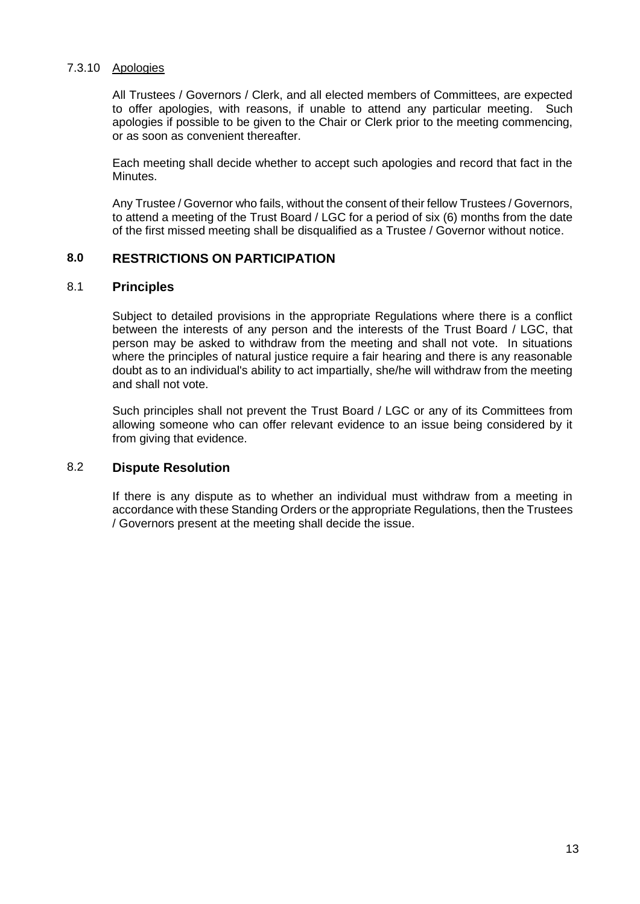#### 7.3.10 Apologies

All Trustees / Governors / Clerk, and all elected members of Committees, are expected to offer apologies, with reasons, if unable to attend any particular meeting. Such apologies if possible to be given to the Chair or Clerk prior to the meeting commencing, or as soon as convenient thereafter.

Each meeting shall decide whether to accept such apologies and record that fact in the Minutes.

Any Trustee / Governor who fails, without the consent of their fellow Trustees / Governors, to attend a meeting of the Trust Board / LGC for a period of six (6) months from the date of the first missed meeting shall be disqualified as a Trustee / Governor without notice.

## **8.0 RESTRICTIONS ON PARTICIPATION**

#### 8.1 **Principles**

Subject to detailed provisions in the appropriate Regulations where there is a conflict between the interests of any person and the interests of the Trust Board / LGC, that person may be asked to withdraw from the meeting and shall not vote. In situations where the principles of natural justice require a fair hearing and there is any reasonable doubt as to an individual's ability to act impartially, she/he will withdraw from the meeting and shall not vote.

Such principles shall not prevent the Trust Board / LGC or any of its Committees from allowing someone who can offer relevant evidence to an issue being considered by it from giving that evidence.

#### 8.2 **Dispute Resolution**

If there is any dispute as to whether an individual must withdraw from a meeting in accordance with these Standing Orders or the appropriate Regulations, then the Trustees / Governors present at the meeting shall decide the issue.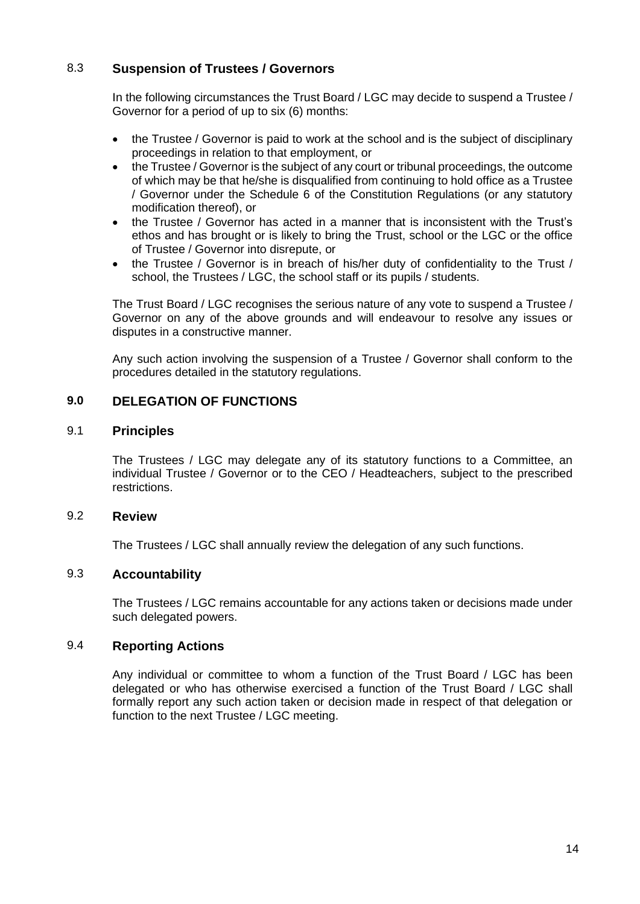# 8.3 **Suspension of Trustees / Governors**

In the following circumstances the Trust Board / LGC may decide to suspend a Trustee / Governor for a period of up to six (6) months:

- the Trustee / Governor is paid to work at the school and is the subject of disciplinary proceedings in relation to that employment, or
- the Trustee / Governor is the subject of any court or tribunal proceedings, the outcome of which may be that he/she is disqualified from continuing to hold office as a Trustee / Governor under the Schedule 6 of the Constitution Regulations (or any statutory modification thereof), or
- the Trustee / Governor has acted in a manner that is inconsistent with the Trust's ethos and has brought or is likely to bring the Trust, school or the LGC or the office of Trustee / Governor into disrepute, or
- the Trustee / Governor is in breach of his/her duty of confidentiality to the Trust / school, the Trustees / LGC, the school staff or its pupils / students.

The Trust Board / LGC recognises the serious nature of any vote to suspend a Trustee / Governor on any of the above grounds and will endeavour to resolve any issues or disputes in a constructive manner.

Any such action involving the suspension of a Trustee / Governor shall conform to the procedures detailed in the statutory regulations.

# **9.0 DELEGATION OF FUNCTIONS**

#### 9.1 **Principles**

The Trustees / LGC may delegate any of its statutory functions to a Committee, an individual Trustee / Governor or to the CEO / Headteachers, subject to the prescribed restrictions.

#### 9.2 **Review**

The Trustees / LGC shall annually review the delegation of any such functions.

# 9.3 **Accountability**

The Trustees / LGC remains accountable for any actions taken or decisions made under such delegated powers.

#### 9.4 **Reporting Actions**

Any individual or committee to whom a function of the Trust Board / LGC has been delegated or who has otherwise exercised a function of the Trust Board / LGC shall formally report any such action taken or decision made in respect of that delegation or function to the next Trustee / LGC meeting.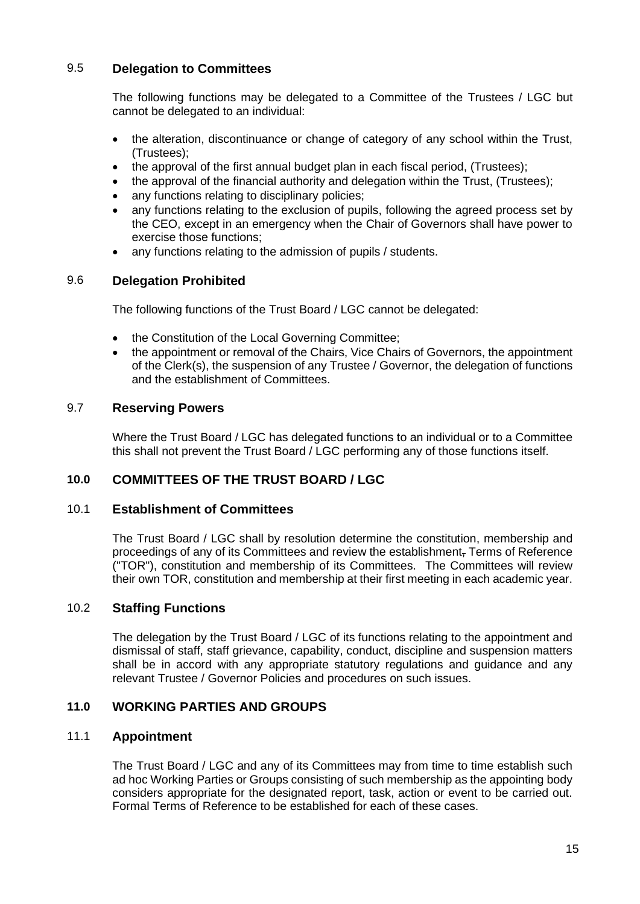# 9.5 **Delegation to Committees**

The following functions may be delegated to a Committee of the Trustees / LGC but cannot be delegated to an individual:

- the alteration, discontinuance or change of category of any school within the Trust, (Trustees);
- the approval of the first annual budget plan in each fiscal period, (Trustees);
- the approval of the financial authority and delegation within the Trust, (Trustees);
- any functions relating to disciplinary policies:
- any functions relating to the exclusion of pupils, following the agreed process set by the CEO, except in an emergency when the Chair of Governors shall have power to exercise those functions;
- any functions relating to the admission of pupils / students.

# 9.6 **Delegation Prohibited**

The following functions of the Trust Board / LGC cannot be delegated:

- the Constitution of the Local Governing Committee;
- the appointment or removal of the Chairs, Vice Chairs of Governors, the appointment of the Clerk(s), the suspension of any Trustee / Governor, the delegation of functions and the establishment of Committees.

# 9.7 **Reserving Powers**

Where the Trust Board / LGC has delegated functions to an individual or to a Committee this shall not prevent the Trust Board / LGC performing any of those functions itself.

# **10.0 COMMITTEES OF THE TRUST BOARD / LGC**

#### 10.1 **Establishment of Committees**

The Trust Board / LGC shall by resolution determine the constitution, membership and proceedings of any of its Committees and review the establishment, Terms of Reference ("TOR"), constitution and membership of its Committees. The Committees will review their own TOR, constitution and membership at their first meeting in each academic year.

## 10.2 **Staffing Functions**

The delegation by the Trust Board / LGC of its functions relating to the appointment and dismissal of staff, staff grievance, capability, conduct, discipline and suspension matters shall be in accord with any appropriate statutory regulations and guidance and any relevant Trustee / Governor Policies and procedures on such issues.

### **11.0 WORKING PARTIES AND GROUPS**

# 11.1 **Appointment**

The Trust Board / LGC and any of its Committees may from time to time establish such ad hoc Working Parties or Groups consisting of such membership as the appointing body considers appropriate for the designated report, task, action or event to be carried out. Formal Terms of Reference to be established for each of these cases.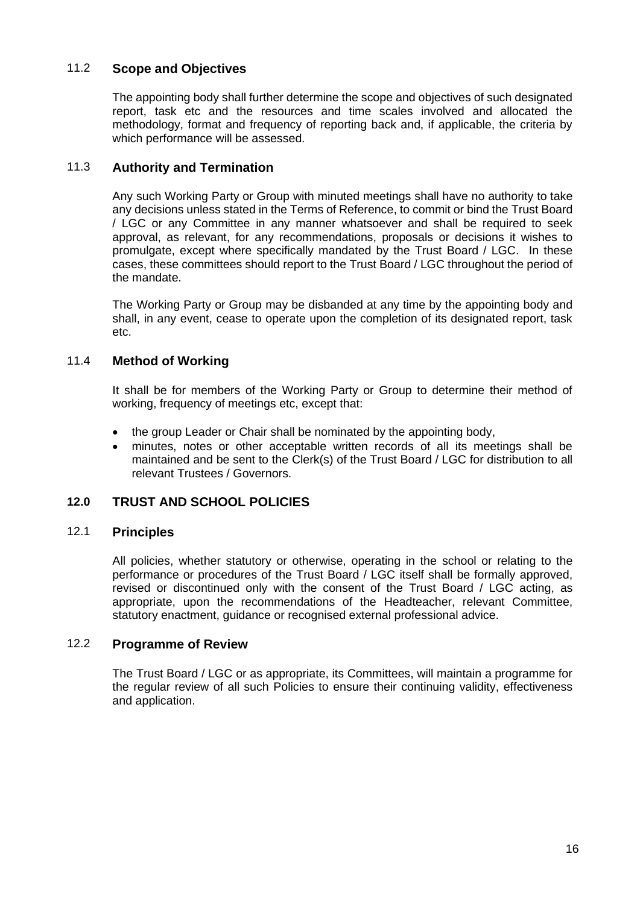# 11.2 **Scope and Objectives**

The appointing body shall further determine the scope and objectives of such designated report, task etc and the resources and time scales involved and allocated the methodology, format and frequency of reporting back and, if applicable, the criteria by which performance will be assessed.

# 11.3 **Authority and Termination**

Any such Working Party or Group with minuted meetings shall have no authority to take any decisions unless stated in the Terms of Reference, to commit or bind the Trust Board / LGC or any Committee in any manner whatsoever and shall be required to seek approval, as relevant, for any recommendations, proposals or decisions it wishes to promulgate, except where specifically mandated by the Trust Board / LGC. In these cases, these committees should report to the Trust Board / LGC throughout the period of the mandate.

The Working Party or Group may be disbanded at any time by the appointing body and shall, in any event, cease to operate upon the completion of its designated report, task etc.

## 11.4 **Method of Working**

It shall be for members of the Working Party or Group to determine their method of working, frequency of meetings etc, except that:

- the group Leader or Chair shall be nominated by the appointing body,
- minutes, notes or other acceptable written records of all its meetings shall be maintained and be sent to the Clerk(s) of the Trust Board / LGC for distribution to all relevant Trustees / Governors.

# **12.0 TRUST AND SCHOOL POLICIES**

#### 12.1 **Principles**

All policies, whether statutory or otherwise, operating in the school or relating to the performance or procedures of the Trust Board / LGC itself shall be formally approved, revised or discontinued only with the consent of the Trust Board / LGC acting, as appropriate, upon the recommendations of the Headteacher, relevant Committee, statutory enactment, guidance or recognised external professional advice.

#### 12.2 **Programme of Review**

The Trust Board / LGC or as appropriate, its Committees, will maintain a programme for the regular review of all such Policies to ensure their continuing validity, effectiveness and application.